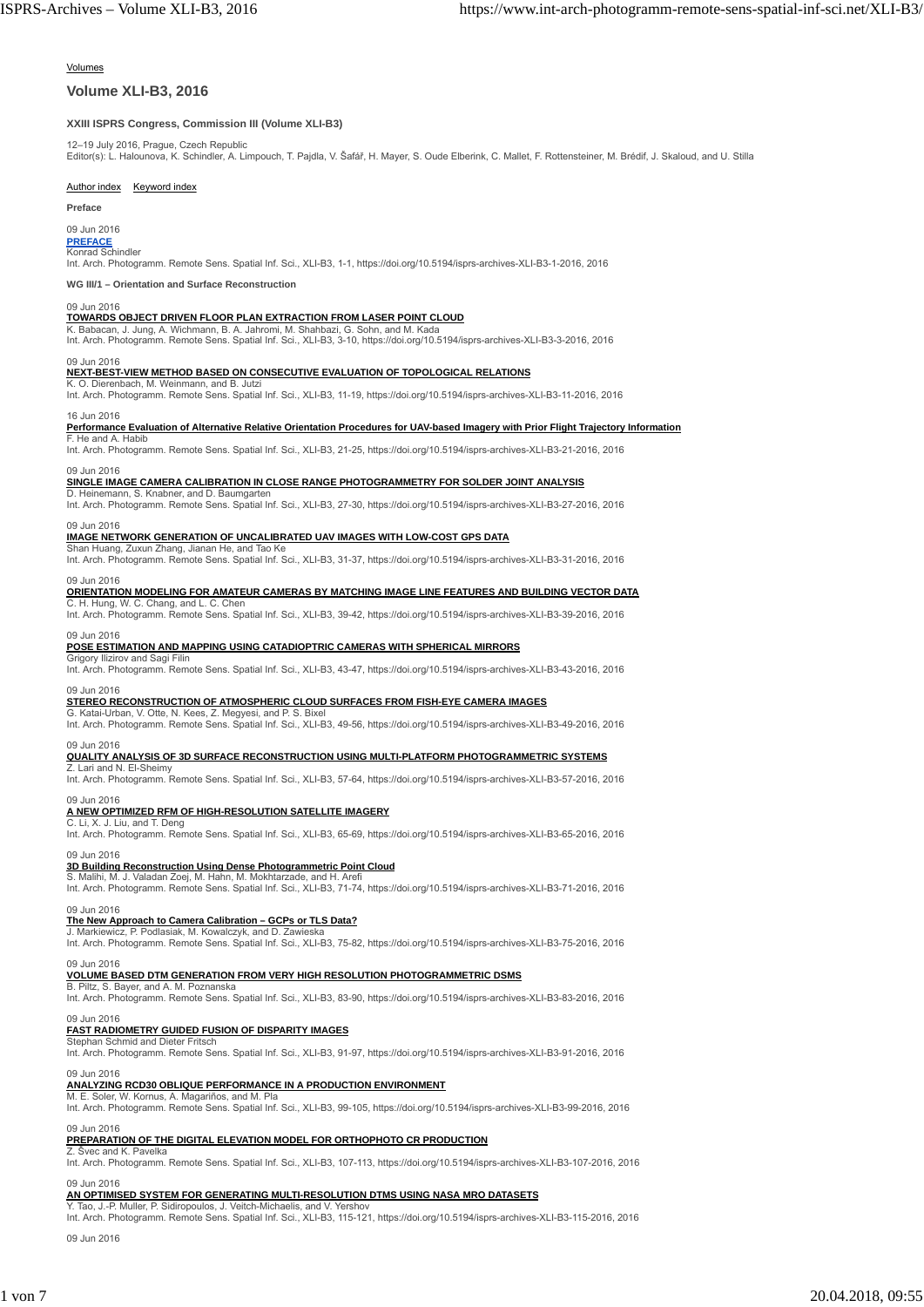#### Volumes

#### **Volume XLI-B3, 2016**

#### **XXIII ISPRS Congress, Commission III (Volume XLI-B3)**

12–19 July 2016, Prague, Czech Republic<br>Editor(s): L. Halounova, K. Schindler, A. Limpouch, T. Pajdla, V. Šafář, H. Mayer, S. Oude Elberink, C. Mallet, F. Rottensteiner, M. Brédif, J. Skaloud, and U. Stilla

#### Author index Keyword index

**Preface**

#### 09 Jun 2016

#### **PREFACE Konrad Schindler**

Int. Arch. Photogramm. Remote Sens. Spatial Inf. Sci., XLI-B3, 1-1, https://doi.org/10.5194/isprs-archives-XLI-B3-1-2016, 2016

**WG III/1 – Orientation and Surface Reconstruction**

#### 09 Jun 2016

**TOWARDS OBJECT DRIVEN FLOOR PLAN EXTRACTION FROM LASER POINT CLOUD**<br>K. Babacan, J. Jung, A. Wichmann, B. A. Jahromi, M. Shahbazi, G. Sohn, and M. Kada<br>Int. Arch. Photogramm. Remote Sens. Spatial Inf. Sci., XLI-B3, 3-10, h

#### 09 Jun 2016

#### **NEXT-BEST-VIEW METHOD BASED ON CONSECUTIVE EVALUATION OF TOPOLOGICAL RELATIONS**

K. O. Dierenbach, M. Weinmann, and B. Jutz Int. Arch. Photogramm. Remote Sens. Spatial Inf. Sci., XLI-B3, 11-19, https://doi.org/10.5194/isprs-archives-XLI-B3-11-2016, 2016

#### 16 Jun 2016

**Performance Evaluation of Alternative Relative Orientation Procedures for UAV-based Imagery with Prior Flight Trajectory Information**

### F. He and A. Habi

Int. Arch. Photogramm. Remote Sens. Spatial Inf. Sci., XLI-B3, 21-25, https://doi.org/10.5194/isprs-archives-XLI-B3-21-2016, 2016

#### 09 Jun 2016

#### **SINGLE IMAGE CAMERA CALIBRATION IN CLOSE RANGE PHOTOGRAMMETRY FOR SOLDER JOINT ANALYSIS**

D. Heinemann, S. Knabner, and D. Baumgarter Int. Arch. Photogramm. Remote Sens. Spatial Inf. Sci., XLI-B3, 27-30, https://doi.org/10.5194/isprs-archives-XLI-B3-27-2016, 2016

#### 09 Jun 2016

## **IMAGE NETWORK GENERATION OF UNCALIBRATED UAV IMAGES WITH LOW-COST GPS DATA** Shan Huang, Zuxun Zhang, Jianan He, and Tao Ke

Int. Arch. Photogramm. Remote Sens. Spatial Inf. Sci., XLI-B3, 31-37, https://doi.org/10.5194/isprs-archives-XLI-B3-31-2016, 2016

### 09 Jun 2016

**ORIENTATION MODELING FOR AMATEUR CAMERAS BY MATCHING IMAGE LINE FEATURES AND BUILDING VECTOR DATA**

C. H. Hung, W. C. Chang, and L. C. Chen Int. Arch. Photogramm. Remote Sens. Spatial Inf. Sci., XLI-B3, 39-42, https://doi.org/10.5194/isprs-archives-XLI-B3-39-2016, 2016

# 09 Jun 2016<br><u>POSE ESTIMATION AND MAPPING USING CATADIOPTRIC CAMERAS WITH SPHERICAL MIRRORS</u><br>Grigory Ilizirov and Sagi Filin

Int. Arch. Photogramm. Remote Sens. Spatial Inf. Sci., XLI-B3, 43-47, https://doi.org/10.5194/isprs-archives-XLI-B3-43-2016, 2016

#### 09 Jun 2016

### **STEREO RECONSTRUCTION OF ATMOSPHERIC CLOUD SURFACES FROM FISH-EYE CAMERA IMAGES**

G. Katai-Urban, V. Otte, N. Kees, Z. Megyesi, and P. S. Bixel Int. Arch. Photogramm. Remote Sens. Spatial Inf. Sci., XLI-B3, 49-56, https://doi.org/10.5194/isprs-archives-XLI-B3-49-2016, 2016

### 09 Jun 2016

#### **QUALITY ANALYSIS OF 3D SURFACE RECONSTRUCTION USING MULTI-PLATFORM PHOTOGRAMMETRIC SYSTEMS**

Z. Lari and N. El-Sheim Int. Arch. Photogramm. Remote Sens. Spatial Inf. Sci., XLI-B3, 57-64, https://doi.org/10.5194/isprs-archives-XLI-B3-57-2016, 2016

### 09 Jun 2016

#### **A NEW OPTIMIZED RFM OF HIGH-RESOLUTION SATELLITE IMAGERY**

C. Li, X. J. Liu, and T. Deng Int. Arch. Photogramm. Remote Sens. Spatial Inf. Sci., XLI-B3, 65-69, https://doi.org/10.5194/isprs-archives-XLI-B3-65-2016, 2016

## 09 Jun 2016

## **3D Building Reconstruction Using Dense Photogrammetric Point Cloud** S. Malihi, M. J. Valadan Zoej, M. Hahn, M. Mokhtarzade, and H. Arefi

Int. Arch. Photogramm. Remote Sens. Spatial Inf. Sci., XLI-B3, 71-74, https://doi.org/10.5194/isprs-archives-XLI-B3-71-2016, 2016

#### 09 Jun 2016

## **The New Approach to Camera Calibration – GCPs or TLS Data?** J. Markiewicz, P. Podlasiak, M. Kowalczyk, and D. Zawieska

Int. Arch. Photogramm. Remote Sens. Spatial Inf. Sci., XLI-B3, 75-82, https://doi.org/10.5194/isprs-archives-XLI-B3-75-2016, 2016

#### 09 Jun 2016 **VOLUME BASED DTM GENERATION FROM VERY HIGH RESOLUTION PHOTOGRAMMETRIC DSMS**

B. Piltz, S. Bayer, and A. M. Poznanska

Int. Arch. Photogramm. Remote Sens. Spatial Inf. Sci., XLI-B3, 83-90, https://doi.org/10.5194/isprs-archives-XLI-B3-83-2016, 2016

#### 09 Jun 2016

## **FAST RADIOMETRY GUIDED FUSION OF DISPARITY IMAGES** Stephan Schmid and Dieter Fritsch

Int. Arch. Photogramm. Remote Sens. Spatial Inf. Sci., XLI-B3, 91-97, https://doi.org/10.5194/isprs-archives-XLI-B3-91-2016, 2016

# 09 Jun 2016<br>**ANALYZING RCD30 OBLIQUE PERFORMANCE IN A PRODUCTION ENVIRONMENT**<br>M. E. Soler, W. Kornus, A. Magariños, and M. Pla

Int. Arch. Photogramm. Remote Sens. Spatial Inf. Sci., XLI-B3, 99-105, https://doi.org/10.5194/isprs-archives-XLI-B3-99-2016, 2016 09 Jun 2016

### **PREPARATION OF THE DIGITAL ELEVATION MODEL FOR ORTHOPHOTO CR PRODUCTION**

Z. Švec and K. Pavelka Int. Arch. Photogramm. Remote Sens. Spatial Inf. Sci., XLI-B3, 107-113, https://doi.org/10.5194/isprs-archives-XLI-B3-107-2016, 2016

#### 09 Jun 2016

### **AN OPTIMISED SYSTEM FOR GENERATING MULTI-RESOLUTION DTMS USING NASA MRO DATASETS**

Y. Tao, J.-P. Muller, P. Sidiropoulos, J. Veitch-Michaelis, and V. Yershov Int. Arch. Photogramm. Remote Sens. Spatial Inf. Sci., XLI-B3, 115-121, https://doi.org/10.5194/isprs-archives-XLI-B3-115-2016, 2016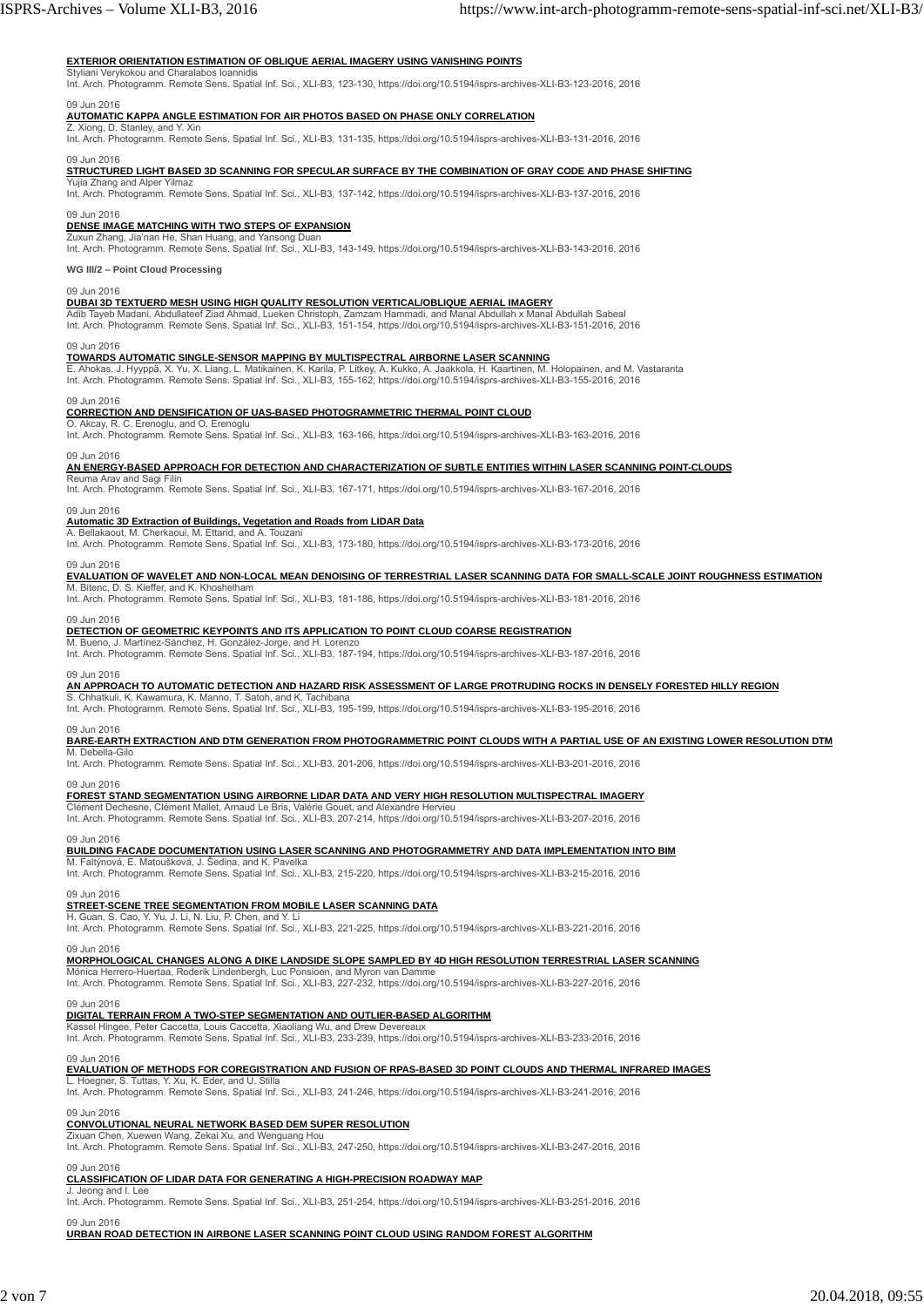#### **EXTERIOR ORIENTATION ESTIMATION OF OBLIQUE AERIAL IMAGERY USING VANISHING POINTS**

Styliani Verykokou and Charalabos Ioannidis<br>Int. Arch. Photogramm. Remote Sens. Spatial Inf. Sci., XLI-B3, 123-130, https://doi.org/10.5194/isprs-archives-XLI-B3-123-2016, 2016

09 Jun 2016

#### **AUTOMATIC KAPPA ANGLE ESTIMATION FOR AIR PHOTOS BASED ON PHASE ONLY CORRELATION**

Z. Xiong, D. Stanley, and Y. Xin<br>Int. Arch. Photogramm. Remote Sens. Spatial Inf. Sci., XLI-B3, 131-135, https://doi.org/10.5194/isprs-archives-XLI-B3-131-2016, 2016

09 Jun 2016

### **STRUCTURED LIGHT BASED 3D SCANNING FOR SPECULAR SURFACE BY THE COMBINATION OF GRAY CODE AND PHASE SHIFTING**

Yujia Zhang and Alper Yilmaz Int. Arch. Photogramm. Remote Sens. Spatial Inf. Sci., XLI-B3, 137-142, https://doi.org/10.5194/isprs-archives-XLI-B3-137-2016, 2016

#### 09 Jun 2016 **DENSE IMAGE MATCHING WITH TWO STEPS OF EXPANSION**

Zuxun Zhang, Jia'nan He, Shan Huang, and Yansong Duan<br>Int. Arch. Photogramm. Remote Sens. Spatial Inf. Sci., XLI-B3, 143-149, https://doi.org/10.5194/isprs-archives-XLI-B3-143-2016, 2016

#### **WG III/2 – Point Cloud Processing**

09 Jun 2016

**DUBAI 3D TEXTUERD MESH USING HIGH QUALITY RESOLUTION VERTICAL/OBLIQUE AERIAL IMAGERY**<br>Adib Tayeb Madani, Abdullateef Ziad Ahmad, Lueken Christoph, Zamzam Hammadi, and Manal Abdullah x Manal Abdullah Sabeal<br>Int. Arch. Phot

## 09 Jun 2016 **TOWARDS AUTOMATIC SINGLE-SENSOR MAPPING BY MULTISPECTRAL AIRBORNE LASER SCANNING**

E. Ahokas, J. Hyyppä, X. Yu, X. Liang, L. Matikainen, K. Karila, P. Litkey, A. Kukko, A. Jaakkola, H. Kaartinen, M. Holopainen, and M. Vastaranta<br>Int. Arch. Photogramm. Remote Sens. Spatial Inf. Sci., XLI-B3, 155-162, http

# 09 Jun 2016<br><u>CORRECTION AND DENSIFICATION OF UAS-BASED PHOTOGRAMMETRIC THERMAL POINT CLOUD</u><br>O. Akcay, R. C. Erenoglu, and O. Erenoglu

Int. Arch. Photogramm. Remote Sens. Spatial Inf. Sci., XLI-B3, 163-166, https://doi.org/10.5194/isprs-archives-XLI-B3-163-2016, 2016

#### 09 Jun 2016

### **AN ENERGY-BASED APPROACH FOR DETECTION AND CHARACTERIZATION OF SUBTLE ENTITIES WITHIN LASER SCANNING POINT-CLOUDS**

Reuma Arav and Sagi

Int. Arch. Photogramm. Remote Sens. Spatial Inf. Sci., XLI-B3, 167-171, https://doi.org/10.5194/isprs-archives-XLI-B3-167-2016, 2016

#### 09 Jun 2016

#### **Automatic 3D Extraction of Buildings, Vegetation and Roads from LIDAR Data** A. Bellakaout, M. Cherkaoui, M. Ettarid, and A. Touzani

Int. Arch. Photogramm. Remote Sens. Spatial Inf. Sci., XLI-B3, 173-180, https://doi.org/10.5194/isprs-archives-XLI-B3-173-2016, 2016

#### 09 Jun 2016

## **EVALUATION OF WAVELET AND NON-LOCAL MEAN DENOISING OF TERRESTRIAL LASER SCANNING DATA FOR SMALL-SCALE JOINT ROUGHNESS ESTIMATION** M. Bitenc, D. S. Kieffer, and K. Khoshelham

Int. Arch. Photogramm. Remote Sens. Spatial Inf. Sci., XLI-B3, 181-186, https://doi.org/10.5194/isprs-archives-XLI-B3-181-2016, 2016

# 09 Jun 2016<br><u>DETECTION OF GEOMETRIC KEYPOINTS AND ITS APPLICATION TO POINT CLOUD COARSE REGISTRATION</u><br>M. Bueno, J. Martínez-Sánchez, H. González-Jorge, and H. Lorenzo

Int. Arch. Photogramm. Remote Sens. Spatial Inf. Sci., XLI-B3, 187-194, https://doi.org/10.5194/isprs-archives-XLI-B3-187-2016, 2016

#### 09 Jun 2016

**AN APPROACH TO AUTOMATIC DETECTION AND HAZARD RISK ASSESSMENT OF LARGE PROTRUDING ROCKS IN DENSELY FORESTED HILLY REGION<br>S. Chhatkuli, K. Kawamura, K. Manno, T. Satoh, and K. Tachibana** 

Int. Arch. Photogramm. Remote Sens. Spatial Inf. Sci., XLI-B3, 195-199, https://doi.org/10.5194/isprs-archives-XLI-B3-195-2016, 2016

#### 09 Jun 2016

**BARE-EARTH EXTRACTION AND DTM GENERATION FROM PHOTOGRAMMETRIC POINT CLOUDS WITH A PARTIAL USE OF AN EXISTING LOWER RESOLUTION DTM**

M. Debella-Gilo Int. Arch. Photogramm. Remote Sens. Spatial Inf. Sci., XLI-B3, 201-206, https://doi.org/10.5194/isprs-archives-XLI-B3-201-2016, 2016

#### 09 Jun 2016

**FOREST STAND SEGMENTATION USING AIRBORNE LIDAR DATA AND VERY HIGH RESOLUTION MULTISPECTRAL IMAGERY**

Clément Dechesne, Clément Mallet, Arnaud Le Bris, Valérie Gouet, and Alexandre Hervie Int. Arch. Photogramm. Remote Sens. Spatial Inf. Sci., XLI-B3, 207-214, https://doi.org/10.5194/isprs-archives-XLI-B3-207-2016, 2016

#### 09 Jun 2016

**BUILDING FACADE DOCUMENTATION USING LASER SCANNING AND PHOTOGRAMMETRY AND DATA IMPLEMENTATION INTO BIM**<br>M. Faltýnová, E. Matoušková, J. Šedina, and K. Pavelka<br>Int. Arch. Photogramm. Remote Sens. Spatial Inf. Sci., XLI-B3,

#### 09 Jun 2016

#### **STREET-SCENE TREE SEGMENTATION FROM MOBILE LASER SCANNING DATA**

H. Guan, S. Cao, Y. Yu, J. Li, N. Liu, P. Chen, and Y. Li<br>Int. Arch. Photogramm. Remote Sens. Spatial Inf. Sci., XLI-B3, 221-225, https://doi.org/10.5194/isprs-archives-XLI-B3-221-2016, 2016

#### 09 Jun 2016

**MORPHOLOGICAL CHANGES ALONG A DIKE LANDSIDE SLOPE SAMPLED BY 4D HIGH RESOLUTION TERRESTRIAL LASER SCANNING**<br>Mónica Herrero-Huertaa, Roderik Lindenbergh, Luc Ponsioen, and Myron van Damme

Int. Arch. Photogramm. Remote Sens. Spatial Inf. Sci., XLI-B3, 227-232, https://doi.org/10.5194/isprs-archives-XLI-B3-227-2016, 2016

#### 09 Jun 2016

#### **DIGITAL TERRAIN FROM A TWO-STEP SEGMENTATION AND OUTLIER-BASED ALGORITHM**

Kassel Hingee, Peter Caccetta, Louis Caccetta, Xiaoliang Wu, and Drew Devereaux<br>Int. Arch. Photogramm. Remote Sens. Spatial Inf. Sci., XLI-B3, 233-239, https://doi.org/10.5194/isprs-archives-XLI-B3-233-2016, 2016

09 Jun 2016 **EVALUATION OF METHODS FOR COREGISTRATION AND FUSION OF RPAS-BASED 3D POINT CLOUDS AND THERMAL INFRARED IMAGES**

#### L. Hoegner, S. Tuttas, Y. Xu, K. Eder, and U. Stilla

Int. Arch. Photogramm. Remote Sens. Spatial Inf. Sci., XLI-B3, 241-246, https://doi.org/10.5194/isprs-archives-XLI-B3-241-2016, 2016

#### 09 Jun 2016

## **CONVOLUTIONAL NEURAL NETWORK BASED DEM SUPER RESOLUTION**

Zixuan Chen, Xuewen Wang, Zekai Xu, and Wenguang Hou<br>Int. Arch. Photogramm. Remote Sens. Spatial Inf. Sci., XLI-B3, 247-250, https://doi.org/10.5194/isprs-archives-XLI-B3-247-2016, 2016

### 09 Jun 2016

## **CLASSIFICATION OF LIDAR DATA FOR GENERATING A HIGH-PRECISION ROADWAY MAP** J. Jeong and I. Lee

Int. Arch. Photogramm. Remote Sens. Spatial Inf. Sci., XLI-B3, 251-254, https://doi.org/10.5194/isprs-archives-XLI-B3-251-2016, 2016

#### 09 Jun 2016

**URBAN ROAD DETECTION IN AIRBONE LASER SCANNING POINT CLOUD USING RANDOM FOREST ALGORITHM**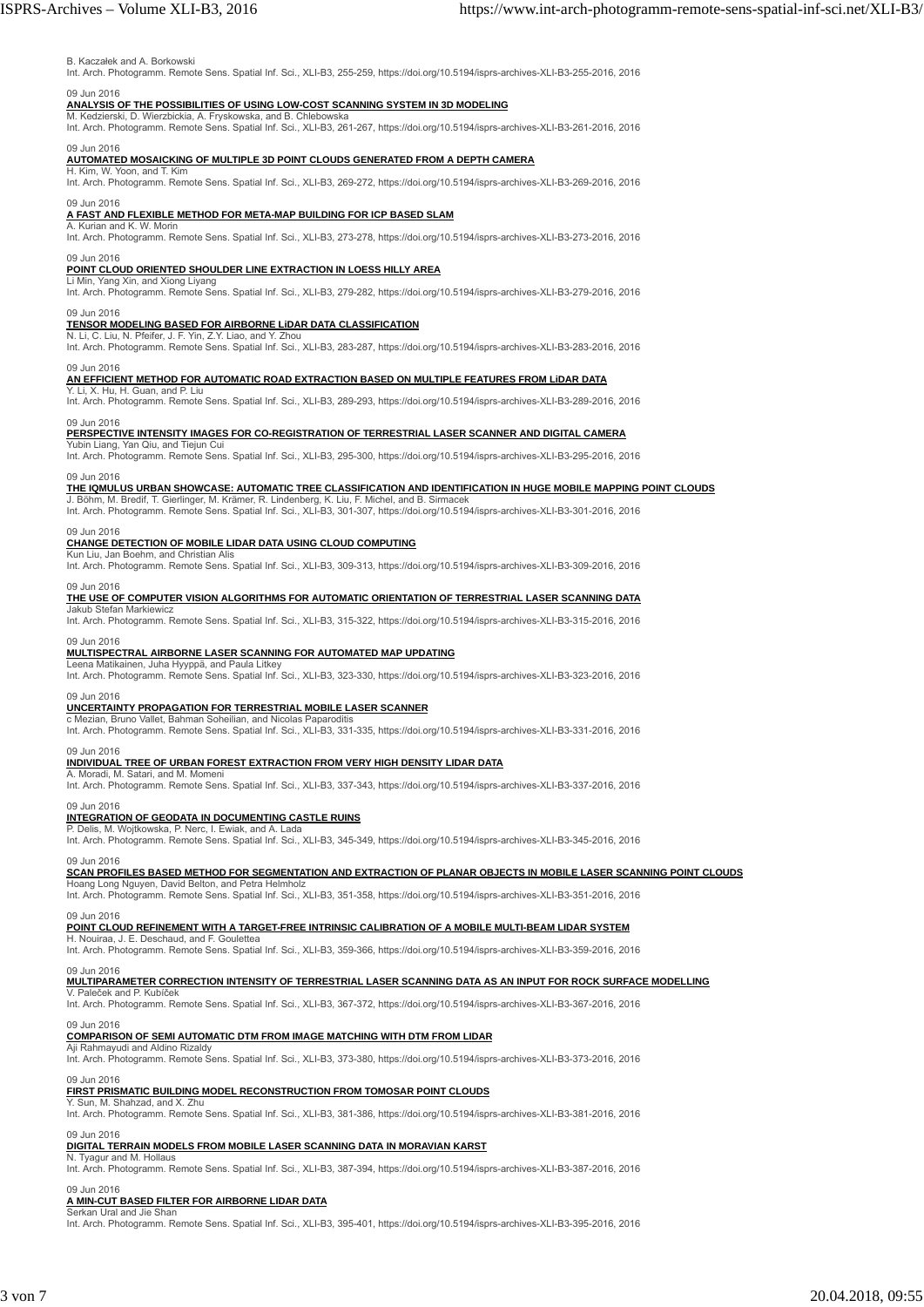#### B. Kaczałek and A. Borkowski

Int. Arch. Photogramm. Remote Sens. Spatial Inf. Sci., XLI-B3, 255-259, https://doi.org/10.5194/isprs-archives-XLI-B3-255-2016, 2016

## 09 Jun 2016 **ANALYSIS OF THE POSSIBILITIES OF USING LOW-COST SCANNING SYSTEM IN 3D MODELING**

M. Kedzierski, D. Wierzbickia, A. Fryskowska, and B. Chlebowska<br>Int. Arch. Photogramm. Remote Sens. Spatial Inf. Sci., XLI-B3, 261-267, https://doi.org/10.5194/isprs-archives-XLI-B3-261-2016, 2016

## 09 Jun 2016 **AUTOMATED MOSAICKING OF MULTIPLE 3D POINT CLOUDS GENERATED FROM A DEPTH CAMERA**

H. Kim, W. Yoon, and T. Kim Int. Arch. Photogramm. Remote Sens. Spatial Inf. Sci., XLI-B3, 269-272, https://doi.org/10.5194/isprs-archives-XLI-B3-269-2016, 2016

### 09 Jun 2016

### **A FAST AND FLEXIBLE METHOD FOR META-MAP BUILDING FOR ICP BASED SLAM**

A. Kurian and K. W. Morin<br>Int. Arch. Photogramm. Remote Sens. Spatial Inf. Sci., XLI-B3, 273-278, https://doi.org/10.5194/isprs-archives-XLI-B3-273-2016, 2016

#### 09 Jun 2016

#### **POINT CLOUD ORIENTED SHOULDER LINE EXTRACTION IN LOESS HILLY AREA**

Li Min, Yang Xin, and Xiong Liyang<br>Int. Arch. Photogramm. Remote Sens. Spatial Inf. Sci., XLI-B3, 279-282, https://doi.org/10.5194/isprs-archives-XLI-B3-279-2016, 2016

#### 09 Jun 2016

## **TENSOR MODELING BASED FOR AIRBORNE LiDAR DATA CLASSIFICATION** N. Li, C. Liu, N. Pfeifer, J. F. Yin, Z.Y. Liao, and Y. Zhou

Int. Arch. Photogramm. Remote Sens. Spatial Inf. Sci., XLI-B3, 283-287, https://doi.org/10.5194/isprs-archives-XLI-B3-283-2016, 2016

#### 09 Jun 2016

## **AN EFFICIENT METHOD FOR AUTOMATIC ROAD EXTRACTION BASED ON MULTIPLE FEATURES FROM LiDAR DATA** Y. Li, X. Hu, H. Guan, and P. Liu

Int. Arch. Photogramm. Remote Sens. Spatial Inf. Sci., XLI-B3, 289-293, https://doi.org/10.5194/isprs-archives-XLI-B3-289-2016, 2016

#### 09 Jun 2016

**PERSPECTIVE INTENSITY IMAGES FOR CO-REGISTRATION OF TERRESTRIAL LASER SCANNER AND DIGITAL CAMERA**

#### n Liang, Yan Qiu, and Tieiun Cu

Int. Arch. Photogramm. Remote Sens. Spatial Inf. Sci., XLI-B3, 295-300, https://doi.org/10.5194/isprs-archives-XLI-B3-295-2016, 2016

#### 09 Jun 2016

**THE IQMULUS URBAN SHOWCASE: AUTOMATIC TREE CLASSIFICATION AND IDENTIFICATION IN HUGE MOBILE MAPPING POINT CLOUDS**

J. Böhm, M. Bredif, T. Gierlinger, M. Krämer, R. Lindenberg, K. Liu, F. Michel, and B. Sirmacek<br>Int. Arch. Photogramm. Remote Sens. Spatial Inf. Sci., XLI-B3, 301-307, https://doi.org/10.5194/isprs-archives-XLI-B3-301-2016

#### 09 Jun 2016

**CHANGE DETECTION OF MOBILE LIDAR DATA USING CLOUD COMPUTING**

## Kun Liu, Jan Boehm, and Christian Alis

Int. Arch. Photogramm. Remote Sens. Spatial Inf. Sci., XLI-B3, 309-313, https://doi.org/10.5194/isprs-archives-XLI-B3-309-2016, 2016

### 09 Jun 2016

**THE USE OF COMPUTER VISION ALGORITHMS FOR AUTOMATIC ORIENTATION OF TERRESTRIAL LASER SCANNING DATA**

Jakub Stefan Markiewicz Int. Arch. Photogramm. Remote Sens. Spatial Inf. Sci., XLI-B3, 315-322, https://doi.org/10.5194/isprs-archives-XLI-B3-315-2016, 2016

### 09 Jun 2016

#### **MULTISPECTRAL AIRBORNE LASER SCANNING FOR AUTOMATED MAP UPDATING**

Leena Matikainen, Juha Hyyppä, and Paula Litkey Int. Arch. Photogramm. Remote Sens. Spatial Inf. Sci., XLI-B3, 323-330, https://doi.org/10.5194/isprs-archives-XLI-B3-323-2016, 2016

# 09 Jun 2016<br><mark>UNCERTAINTY PROPAGATION FOR TERRESTRIAL MOBILE LASER SCANNER</mark><br>c Mezian, Bruno Vallet, Bahman Soheilian, and Nicolas Paparoditis

Int. Arch. Photogramm. Remote Sens. Spatial Inf. Sci., XLI-B3, 331-335, https://doi.org/10.5194/isprs-archives-XLI-B3-331-2016, 2016

#### 09 Jun 2016

### **INDIVIDUAL TREE OF URBAN FOREST EXTRACTION FROM VERY HIGH DENSITY LIDAR DATA**

A. Moradi, M. Satari, and M. Momeni<br>Int. Arch. Photogramm. Remote Sens. Spatial Inf. Sci., XLI-B3, 337-343, https://doi.org/10.5194/isprs-archives-XLI-B3-337-2016, 2016

#### 09 Jun 2016

#### **INTEGRATION OF GEODATA IN DOCUMENTING CASTLE RUINS**

P. Delis, M. Wojtkowska, P. Nerc, I. Ewiak, and A. Lada Int. Arch. Photogramm. Remote Sens. Spatial Inf. Sci., XLI-B3, 345-349, https://doi.org/10.5194/isprs-archives-XLI-B3-345-2016, 2016

09 Jun 2016<br><u>SCAN PROFILES BASED METHOD FOR SEGMENTATION AND EXTRACTION OF PLANAR OBJECTS IN MOBILE LASER SCANNING POINT CLOUDS</u><br>Hoang Long Nguyen, David Belton, and Petra Helmholz

## Int. Arch. Photogramm. Remote Sens. Spatial Inf. Sci., XLI-B3, 351-358, https://doi.org/10.5194/isprs-archives-XLI-B3-351-2016, 2016

#### **POINT CLOUD REFINEMENT WITH A TARGET-FREE INTRINSIC CALIBRATION OF A MOBILE MULTI-BEAM LIDAR SYSTEM**

H. Nouiraa, J. E. Deschaud, and Int. Arch. Photogramm. Remote Sens. Spatial Inf. Sci., XLI-B3, 359-366, https://doi.org/10.5194/isprs-archives-XLI-B3-359-2016, 2016

#### 09 Jun 2016

09 Jun 2016

**MULTIPARAMETER CORRECTION INTENSITY OF TERRESTRIAL LASER SCANNING DATA AS AN INPUT FOR ROCK SURFACE MODELLING** V. Paleček and P. Kubíček

Int. Arch. Photogramm. Remote Sens. Spatial Inf. Sci., XLI-B3, 367-372, https://doi.org/10.5194/isprs-archives-XLI-B3-367-2016, 2016

#### 09 Jun 2016

#### **COMPARISON OF SEMI AUTOMATIC DTM FROM IMAGE MATCHING WITH DTM FROM LIDAR**

Aji Rahmayudi and Aldino Rizaldy<br>Int. Arch. Photogramm. Remote Sens. Spatial Inf. Sci., XLI-B3, 373-380, https://doi.org/10.5194/isprs-archives-XLI-B3-373-2016, 2016

#### 09 Jun 2016

#### **FIRST PRISMATIC BUILDING MODEL RECONSTRUCTION FROM TOMOSAR POINT CLOUDS**

Y. Sun, M. Shahzad, and X. Zhu Int. Arch. Photogramm. Remote Sens. Spatial Inf. Sci., XLI-B3, 381-386, https://doi.org/10.5194/isprs-archives-XLI-B3-381-2016, 2016

#### 09 Jun 2016

#### **DIGITAL TERRAIN MODELS FROM MOBILE LASER SCANNING DATA IN MORAVIAN KARST**

N. Tyagur and M. Hollaus<br>Int. Arch. Photogramm. Remote Sens. Spatial Inf. Sci., XLI-B3, 387-394, https://doi.org/10.5194/isprs-archives-XLI-B3-387-2016, 2016

#### 09 Jun 2016

#### **A MIN-CUT BASED FILTER FOR AIRBORNE LIDAR DATA** Serkan Ural and Jie Shan

Int. Arch. Photogramm. Remote Sens. Spatial Inf. Sci., XLI-B3, 395-401, https://doi.org/10.5194/isprs-archives-XLI-B3-395-2016, 2016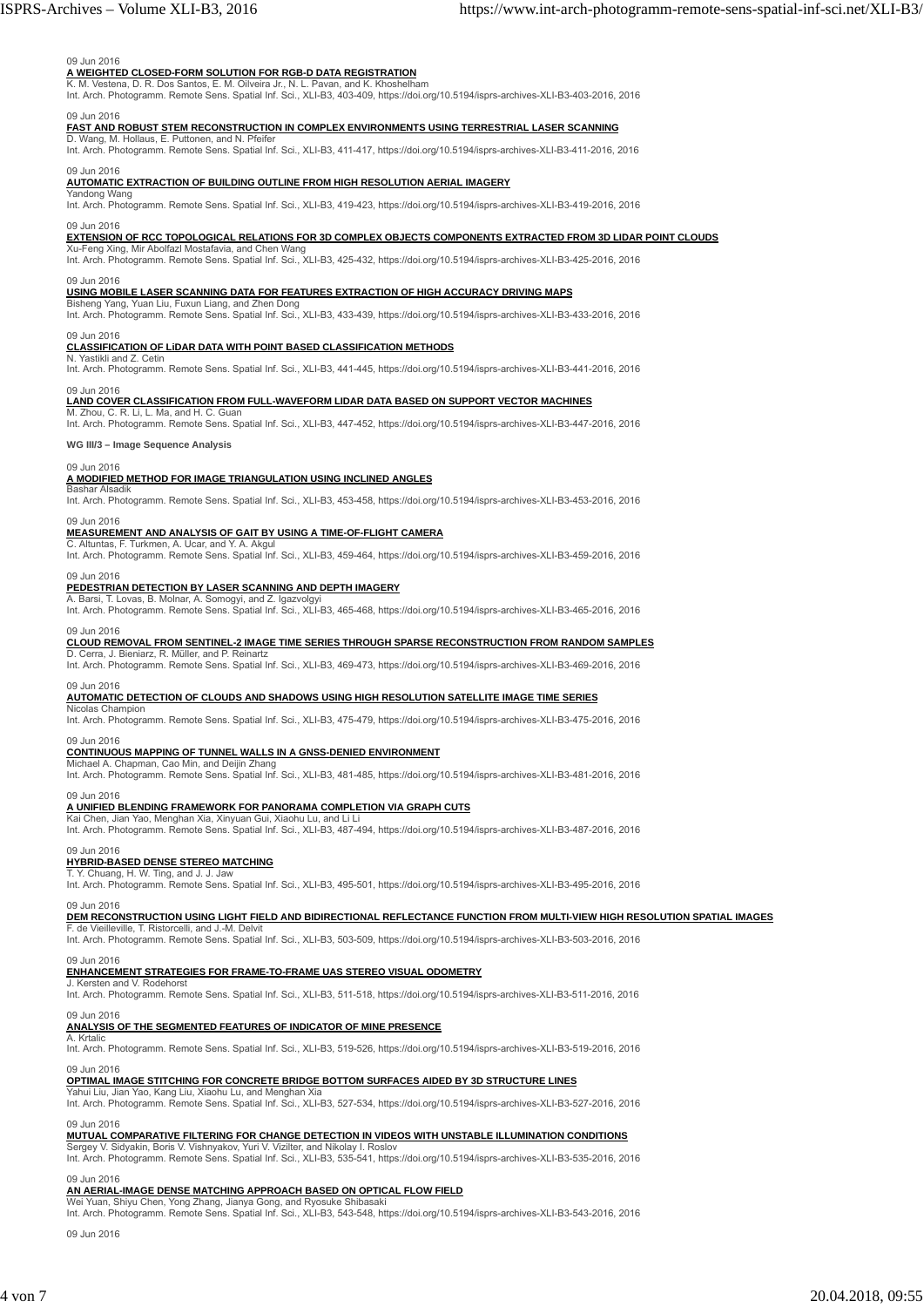#### 09 Jun 2016

## **A WEIGHTED CLOSED-FORM SOLUTION FOR RGB-D DATA REGISTRATION** K. M. Vestena, D. R. Dos Santos, E. M. Oilveira Jr., N. L. Pavan, and K. Khoshelham

Int. Arch. Photogramm. Remote Sens. Spatial Inf. Sci., XLI-B3, 403-409, https://doi.org/10.5194/isprs-archives-XLI-B3-403-2016, 2016 09 Jun 2016

## **FAST AND ROBUST STEM RECONSTRUCTION IN COMPLEX ENVIRONMENTS USING TERRESTRIAL LASER SCANNING**

D. Wang, M. Hollaus, E. Puttonen, and N. Pfeifer<br>Int. Arch. Photogramm. Remote Sens. Spatial Inf. Sci., XLI-B3, 411-417, https://doi.org/10.5194/isprs-archives-XLI-B3-411-2016, 2016

#### 09 Jun 2016

#### **AUTOMATIC EXTRACTION OF BUILDING OUTLINE FROM HIGH RESOLUTION AERIAL IMAGERY**

Yandong Wang Int. Arch. Photogramm. Remote Sens. Spatial Inf. Sci., XLI-B3, 419-423, https://doi.org/10.5194/isprs-archives-XLI-B3-419-2016, 2016

#### 09 Jun 2016

#### **EXTENSION OF RCC TOPOLOGICAL RELATIONS FOR 3D COMPLEX OBJECTS COMPONENTS EXTRACTED FROM 3D LIDAR POINT CLOUDS**

Xu-Feng Xing, Mir Abolfazl Mostafavia, and Chen Wang<br>Int. Arch. Photogramm. Remote Sens. Spatial Inf. Sci., XLI-B3, 425-432, https://doi.org/10.5194/isprs-archives-XLI-B3-425-2016, 2016

#### 09 Jun 2016

#### **USING MOBILE LASER SCANNING DATA FOR FEATURES EXTRACTION OF HIGH ACCURACY DRIVING MAPS**

Bisheng Yang, Yuan Liu, Fuxun Liang, and Zhen Dong<br>Int. Arch. Photogramm. Remote Sens. Spatial Inf. Sci., XLI-B3, 433-439, https://doi.org/10.5194/isprs-archives-XLI-B3-433-2016, 2016

## 09 Jun 2016 **CLASSIFICATION OF LiDAR DATA WITH POINT BASED CLASSIFICATION METHODS**

N. Yastikli and Z. Cetin Int. Arch. Photogramm. Remote Sens. Spatial Inf. Sci., XLI-B3, 441-445, https://doi.org/10.5194/isprs-archives-XLI-B3-441-2016, 2016

#### 09 Jun 2016

#### **LAND COVER CLASSIFICATION FROM FULL-WAVEFORM LIDAR DATA BASED ON SUPPORT VECTOR MACHINES**

M. Zhou, C. R. Li, L. Ma, and H. C. Guan<br>Int. Arch. Photogramm. Remote Sens. Spatial Inf. Sci., XLI-B3, 447-452, https://doi.org/10.5194/isprs-archives-XLI-B3-447-2016, 2016

**WG III/3 – Image Sequence Analysis**

#### 09 Jun 2016

#### **A MODIFIED METHOD FOR IMAGE TRIANGULATION USING INCLINED ANGLES**

Bashar Alsadik Int. Arch. Photogramm. Remote Sens. Spatial Inf. Sci., XLI-B3, 453-458, https://doi.org/10.5194/isprs-archives-XLI-B3-453-2016, 2016

#### 09 Jun 2016

## **MEASUREMENT AND ANALYSIS OF GAIT BY USING A TIME-OF-FLIGHT CAMERA** C. Altuntas, F. Turkmen, A. Ucar, and Y. A. Akgul

Int. Arch. Photogramm. Remote Sens. Spatial Inf. Sci., XLI-B3, 459-464, https://doi.org/10.5194/isprs-archives-XLI-B3-459-2016, 2016

#### 09 Jun 2016

### **PEDESTRIAN DETECTION BY LASER SCANNING AND DEPTH IMAGERY**

A. Barsi, T. Lovas, B. Molnar, A. Somogyi, and Z. Igazvolgyi<br>Int. Arch. Photogramm. Remote Sens. Spatial Inf. Sci., XLI-B3, 465-468, https://doi.org/10.5194/isprs-archives-XLI-B3-465-2016, 2016

## 09 Jun 2016 **CLOUD REMOVAL FROM SENTINEL-2 IMAGE TIME SERIES THROUGH SPARSE RECONSTRUCTION FROM RANDOM SAMPLES**

D. Cerra, J. Bieniarz, R. Müller, and P. Reinartz Int. Arch. Photogramm. Remote Sens. Spatial Inf. Sci., XLI-B3, 469-473, https://doi.org/10.5194/isprs-archives-XLI-B3-469-2016, 2016

## 09 Jun 2016 **AUTOMATIC DETECTION OF CLOUDS AND SHADOWS USING HIGH RESOLUTION SATELLITE IMAGE TIME SERIES**

las Cham Int. Arch. Photogramm. Remote Sens. Spatial Inf. Sci., XLI-B3, 475-479, https://doi.org/10.5194/isprs-archives-XLI-B3-475-2016, 2016

## 09 Jun 2016 **CONTINUOUS MAPPING OF TUNNEL WALLS IN A GNSS-DENIED ENVIRONMENT**

Michael A. Chapman, Cao Min, and Deijin Zhang

Int. Arch. Photogramm. Remote Sens. Spatial Inf. Sci., XLI-B3, 481-485, https://doi.org/10.5194/isprs-archives-XLI-B3-481-2016, 2016

### 09 Jun 2016

**A UNIFIED BLENDING FRAMEWORK FOR PANORAMA COMPLETION VIA GRAPH CUTS**<br>Kai Chen, Jian Yao, Menghan Xia, Xinyuan Gui, Xiaohu Lu, and Li Li<br>Int. Arch. Photogramm. Remote Sens. Spatial Inf. Sci., XLI-B3, 487-494, https://doi.o

#### 09 Jun 2016

#### **HYBRID-BASED DENSE STEREO MATCHING**

T. Y. Chuang, H. W. Ting, and J. J. Jaw<br>Int. Arch. Photogramm. Remote Sens. Spatial Inf. Sci., XLI-B3, 495-501, https://doi.org/10.5194/isprs-archives-XLI-B3-495-2016, 2016

### 09 Jun 2016

## **DEM RECONSTRUCTION USING LIGHT FIELD AND BIDIRECTIONAL REFLECTANCE FUNCTION FROM MULTI-VIEW HIGH RESOLUTION SPATIAL IMAGES<br>F. de Vieilleville, T. Ristorcelli, and J.-M. Delvit**

Int. Arch. Photogramm. Remote Sens. Spatial Inf. Sci., XLI-B3, 503-509, https://doi.org/10.5194/isprs-archives-XLI-B3-503-2016, 2016

09 Jun 2016

#### **ENHANCEMENT STRATEGIES FOR FRAME-TO-FRAME UAS STEREO VISUAL ODOMETRY**

J. Kersten and V. Rodehorst Int. Arch. Photogramm. Remote Sens. Spatial Inf. Sci., XLI-B3, 511-518, https://doi.org/10.5194/isprs-archives-XLI-B3-511-2016, 2016

### 09 Jun 2016

#### **ANALYSIS OF THE SEGMENTED FEATURES OF INDICATOR OF MINE PRESENCE**

## A. Krtalic Int. Arch. Photogramm. Remote Sens. Spatial Inf. Sci., XLI-B3, 519-526, https://doi.org/10.5194/isprs-archives-XLI-B3-519-2016, 2016 09 Jun 2016

### **OPTIMAL IMAGE STITCHING FOR CONCRETE BRIDGE BOTTOM SURFACES AIDED BY 3D STRUCTURE LINES**

Yahui Liu, Jian Yao, Kang Liu, Xiaohu Lu, and Menghan Xia Int. Arch. Photogramm. Remote Sens. Spatial Inf. Sci., XLI-B3, 527-534, https://doi.org/10.5194/isprs-archives-XLI-B3-527-2016, 2016

#### 09 Jun 2016

**MUTUAL COMPARATIVE FILTERING FOR CHANGE DETECTION IN VIDEOS WITH UNSTABLE ILLUMINATION CONDITIONS**<br>Sergey V. Sidyakin, Boris V. Vishnyakov, Yuri V. Vizitler, and Nikolay I. Roslov<br>Int. Arch. Photogramm. Remote Sens. Spati

#### 09 Jun 2016

**AN AERIAL-IMAGE DENSE MATCHING APPROACH BASED ON OPTICAL FLOW FIELD**<br>Wei Yuan, Shiyu Chen, Yong Zhang, Jianya Gong, and Ryosuke Shibasaki<br>Int. Arch. Photogramm. Remote Sens. Spatial Inf. Sci., XLI-B3, 543-548, https://doi

09 Jun 2016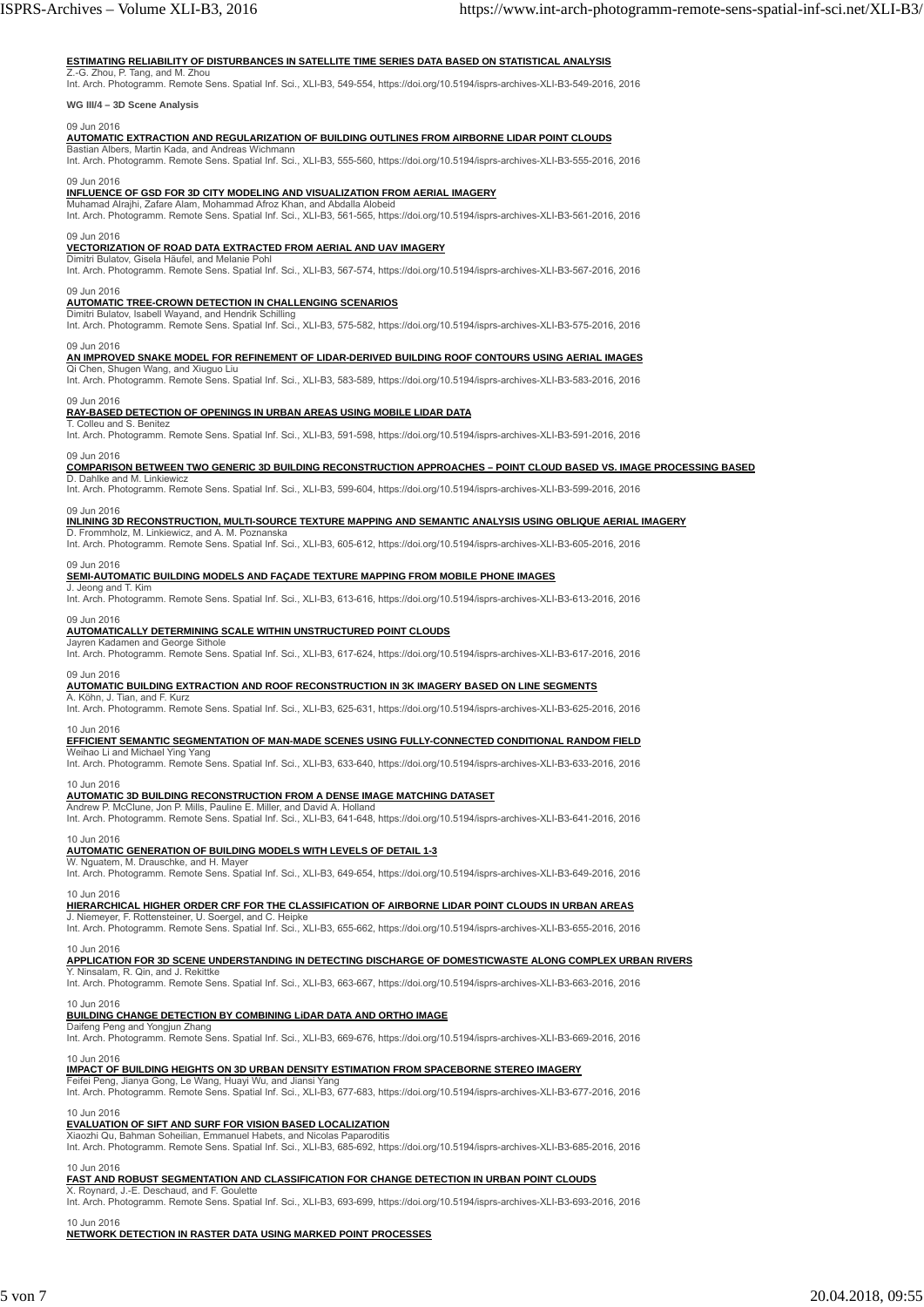#### **ESTIMATING RELIABILITY OF DISTURBANCES IN SATELLITE TIME SERIES DATA BASED ON STATISTICAL ANALYSIS**

Z.-G. Zhou, P. Tang, and M. Zhou<br>Int. Arch. Photogramm. Remote Sens. Spatial Inf. Sci., XLI-B3, 549-554, https://doi.org/10.5194/isprs-archives-XLI-B3-549-2016, 2016

**WG III/4 – 3D Scene Analysis**

#### 09 Jun 2016

## **AUTOMATIC EXTRACTION AND REGULARIZATION OF BUILDING OUTLINES FROM AIRBORNE LIDAR POINT CLOUDS**<br>Bastian Albers, Martin Kada, and Andreas Wichmann

Int. Arch. Photogramm. Remote Sens. Spatial Inf. Sci., XLI-B3, 555-560, https://doi.org/10.5194/isprs-archives-XLI-B3-555-2016, 2016

#### 09 Jun 2016

<u>INFLUENCE OF GSD FOR 3D CITY MODELING AND VISUALIZATION FROM AERIAL IMAGERY</u><br>Muhamad Alrajhi, Zafare Alam, Mohammad Afroz Khan, and Abdalla Alobeid<br>Int. Arch. Photogramm. Remote Sens. Spatial Inf. Sci., XLI-B3, 561-565, h

#### 09 Jun 2016

#### **VECTORIZATION OF ROAD DATA EXTRACTED FROM AERIAL AND UAV IMAGERY**

Dimitri Bulatov, Gisela Häufel, and Melanie Pohl<br>Int. Arch. Photogramm. Remote Sens. Spatial Inf. Sci., XLI-B3, 567-574, https://doi.org/10.5194/isprs-archives-XLI-B3-567-2016, 2016

#### 09 Jun 2016

#### **AUTOMATIC TREE-CROWN DETECTION IN CHALLENGING SCENARIOS**

Dimitri Bulatov, Isabell Wayand, and Hendrik Schilling<br>Int. Arch. Photogramm. Remote Sens. Spatial Inf. Sci., XLI-B3, 575-582, https://doi.org/10.5194/isprs-archives-XLI-B3-575-2016, 2016

#### 09 Jun 2016

**AN IMPROVED SNAKE MODEL FOR REFINEMENT OF LIDAR-DERIVED BUILDING ROOF CONTOURS USING AERIAL IMAGES**

T. Colleu and S. Benitez

Qi Chen, Shugen Wang, and Xiuguo Liu<br>Int. Arch. Photogramm. Remote Sens. Spatial Inf. Sci., XLI-B3, 583-589, https://doi.org/10.5194/isprs-archives-XLI-B3-583-2016, 2016

#### 09 Jun 2016

#### **RAY-BASED DETECTION OF OPENINGS IN URBAN AREAS USING MOBILE LIDAR DATA**

Int. Arch. Photogramm. Remote Sens. Spatial Inf. Sci., XLI-B3, 591-598, https://doi.org/10.5194/isprs-archives-XLI-B3-591-2016, 2016

#### 09 Jun 2016

#### **COMPARISON BETWEEN TWO GENERIC 3D BUILDING RECONSTRUCTION APPROACHES – POINT CLOUD BASED VS. IMAGE PROCESSING BASED**

D. Dahlke and M. Linkiewicz Int. Arch. Photogramm. Remote Sens. Spatial Inf. Sci., XLI-B3, 599-604, https://doi.org/10.5194/isprs-archives-XLI-B3-599-2016, 2016

## 09 Jun 2016 **INLINING 3D RECONSTRUCTION, MULTI-SOURCE TEXTURE MAPPING AND SEMANTIC ANALYSIS USING OBLIQUE AERIAL IMAGERY**

D. Frommholz, M. Linkiewicz, and A. M. Poznansk Int. Arch. Photogramm. Remote Sens. Spatial Inf. Sci., XLI-B3, 605-612, https://doi.org/10.5194/isprs-archives-XLI-B3-605-2016, 2016

#### 09 Jun 2016

#### **SEMI-AUTOMATIC BUILDING MODELS AND FAÇADE TEXTURE MAPPING FROM MOBILE PHONE IMAGES**

J. Jeong and T. Kim Int. Arch. Photogramm. Remote Sens. Spatial Inf. Sci., XLI-B3, 613-616, https://doi.org/10.5194/isprs-archives-XLI-B3-613-2016, 2016

#### 09 Jun 2016

### **AUTOMATICALLY DETERMINING SCALE WITHIN UNSTRUCTURED POINT CLOUDS**

Jayren Kadamen and George Sithole Int. Arch. Photogramm. Remote Sens. Spatial Inf. Sci., XLI-B3, 617-624, https://doi.org/10.5194/isprs-archives-XLI-B3-617-2016, 2016

#### 09 Jun 2016

**AUTOMATIC BUILDING EXTRACTION AND ROOF RECONSTRUCTION IN 3K IMAGERY BASED ON LINE SEGMENTS**

A. Köhn, J. Tian, and F. Kurz<br>Int. Arch. Photogramm. Remote Sens. Spatial Inf. Sci., XLI-B3, 625-631, https://doi.org/10.5194/isprs-archives-XLI-B3-625-2016, 2016

# 10 Jun 2016<br><u>EFFICIENT SEMANTIC SEGMENTATION OF MAN-MADE SCENES USING FULLY-CONNECTED CONDITIONAL RANDOM FIELD</u><br>Weihao Li and Michael Ying Yang

Int. Arch. Photogramm. Remote Sens. Spatial Inf. Sci., XLI-B3, 633-640, https://doi.org/10.5194/isprs-archives-XLI-B3-633-2016, 2016

#### 10 Jun 2016

#### **AUTOMATIC 3D BUILDING RECONSTRUCTION FROM A DENSE IMAGE MATCHING DATASET**

Andrew P. McClune, Jon P. Mills, Pauline E. Miller, and David A. Holland Int. Arch. Photogramm. Remote Sens. Spatial Inf. Sci., XLI-B3, 641-648, https://doi.org/10.5194/isprs-archives-XLI-B3-641-2016, 2016

#### 10 Jun 2016

**AUTOMATIC GENERATION OF BUILDING MODELS WITH LEVELS OF DETAIL 1-3**<br>W. Nguatem, M. Drauschke, and H. Mayer<br>Int. Arch. Photogramm. Remote Sens. Spatial Inf. Sci., XLI-B3, 649-654, https://doi.org/10.5194/isprs-archives-XLI-

#### 10 Jun 2016

**HIERARCHICAL HIGHER ORDER CRF FOR THE CLASSIFICATION OF AIRBORNE LIDAR POINT CLOUDS IN URBAN AREAS**

J. Niemeyer, F. Rottensteiner, U. Soergel, and C. Heipke Int. Arch. Photogramm. Remote Sens. Spatial Inf. Sci., XLI-B3, 655-662, https://doi.org/10.5194/isprs-archives-XLI-B3-655-2016, 2016

#### 10 Jun 2016

**APPLICATION FOR 3D SCENE UNDERSTANDING IN DETECTING DISCHARGE OF DOMESTICWASTE ALONG COMPLEX URBAN RIVERS**

### Y. Ninsalam, R. Qin, and J. Rekittke

Int. Arch. Photogramm. Remote Sens. Spatial Inf. Sci., XLI-B3, 663-667, https://doi.org/10.5194/isprs-archives-XLI-B3-663-2016, 2016

#### 10 Jun 2016

### **BUILDING CHANGE DETECTION BY COMBINING LiDAR DATA AND ORTHO IMAGE**

Daifeng Peng and Yongjun Zhang<br>Int. Arch. Photogramm. Remote Sens. Spatial Inf. Sci., XLI-B3, 669-676, https://doi.org/10.5194/isprs-archives-XLI-B3-669-2016, 2016

10 Jun 2016 **IMPACT OF BUILDING HEIGHTS ON 3D URBAN DENSITY ESTIMATION FROM SPACEBORNE STEREO IMAGERY**

#### Feifei Peng, Jianya Gong, Le Wang, Huayi Wu, and Jiansi Yang

Int. Arch. Photogramm. Remote Sens. Spatial Inf. Sci., XLI-B3, 677-683, https://doi.org/10.5194/isprs-archives-XLI-B3-677-2016, 2016

#### 10 Jun 2016 **EVALUATION OF SIFT AND SURF FOR VISION BASED LOCALIZATION**

### Xiaozhi Qu, Bahman Soheilian, Emmanuel Habets, and Nicolas Paparoditis

Int. Arch. Photogramm. Remote Sens. Spatial Inf. Sci., XLI-B3, 685-692, https://doi.org/10.5194/isprs-archives-XLI-B3-685-2016, 2016

#### 10 Jun 2016

#### **FAST AND ROBUST SEGMENTATION AND CLASSIFICATION FOR CHANGE DETECTION IN URBAN POINT CLOUDS** X. Roynard, J.-E. Deschaud, and F. Goulette

Int. Arch. Photogramm. Remote Sens. Spatial Inf. Sci., XLI-B3, 693-699, https://doi.org/10.5194/isprs-archives-XLI-B3-693-2016, 2016 10 Jun 2016

### **NETWORK DETECTION IN RASTER DATA USING MARKED POINT PROCESSES**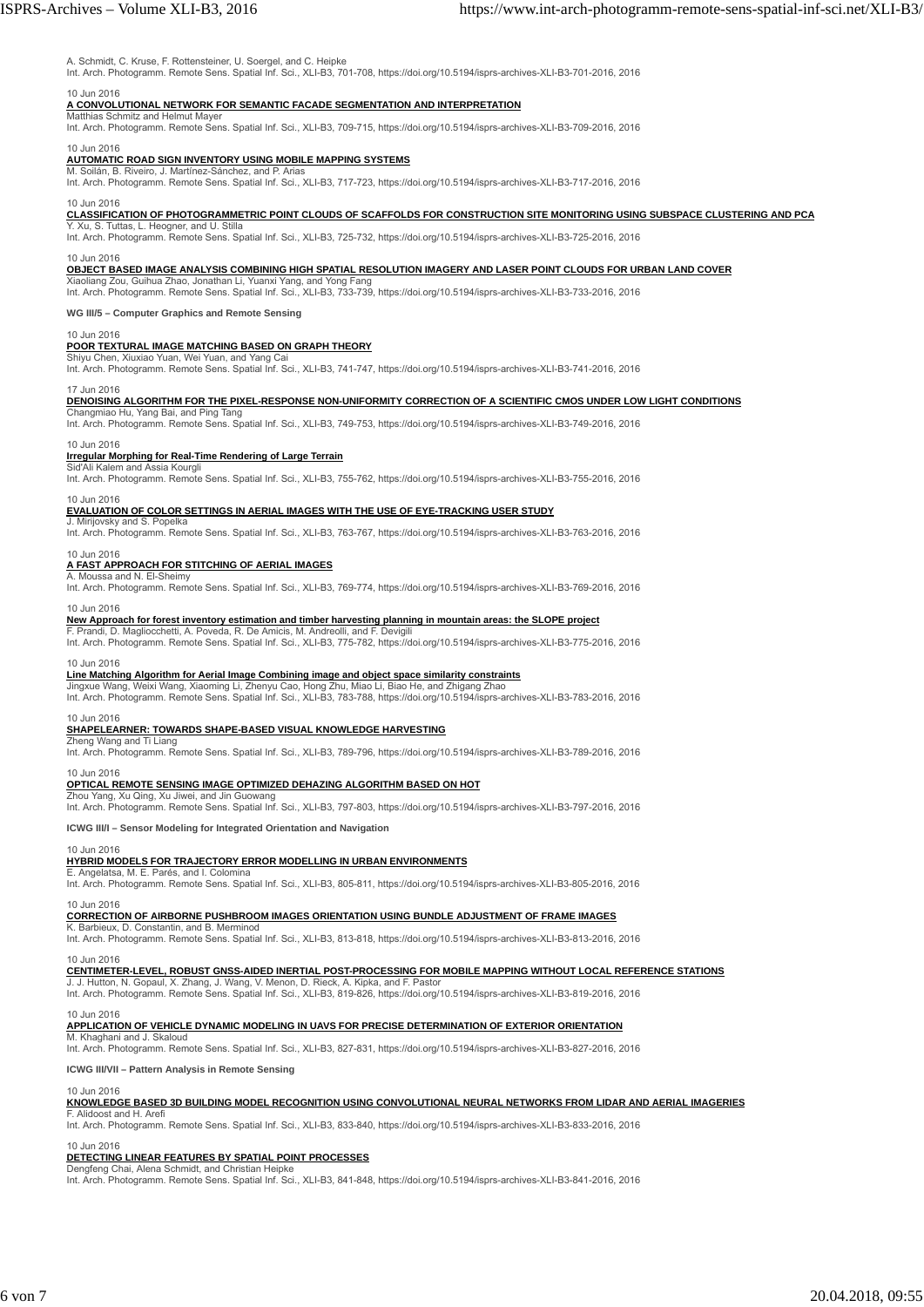#### A. Schmidt, C. Kruse, F. Rottensteiner, U. Soergel, and C. Heipke

Int. Arch. Photogramm. Remote Sens. Spatial Inf. Sci., XLI-B3, 701-708, https://doi.org/10.5194/isprs-archives-XLI-B3-701-2016, 2016

## 10 Jun 2016 **A CONVOLUTIONAL NETWORK FOR SEMANTIC FACADE SEGMENTATION AND INTERPRETATION**

Matthias Schmitz and Helmut Maye

Int. Arch. Photogramm. Remote Sens. Spatial Inf. Sci., XLI-B3, 709-715, https://doi.org/10.5194/isprs-archives-XLI-B3-709-2016, 2016

#### 10 Jun 2016

**AUTOMATIC ROAD SIGN INVENTORY USING MOBILE MAPPING SYSTEMS** M. Soilán, B. Riveiro, J. Martínez-Sánchez, and P. Arias

Int. Arch. Photogramm. Remote Sens. Spatial Inf. Sci., XLI-B3, 717-723, https://doi.org/10.5194/isprs-archives-XLI-B3-717-2016, 2016

## 10 Jun 2016 **CLASSIFICATION OF PHOTOGRAMMETRIC POINT CLOUDS OF SCAFFOLDS FOR CONSTRUCTION SITE MONITORING USING SUBSPACE CLUSTERING AND PCA**

Y. Xu, S. Tuttas, L. Heogner, and U. Stilla Int. Arch. Photogramm. Remote Sens. Spatial Inf. Sci., XLI-B3, 725-732, https://doi.org/10.5194/isprs-archives-XLI-B3-725-2016, 2016

#### 10 Jun 2016

**OBJECT BASED IMAGE ANALYSIS COMBINING HIGH SPATIAL RESOLUTION IMAGERY AND LASER POINT CLOUDS FOR URBAN LAND COVER**

Xiaoliang Zou, Guihua Zhao, Jonathan Li, Yuanxi Yang, and Yong Fang<br>Int. Arch. Photogramm. Remote Sens. Spatial Inf. Sci., XLI-B3, 733-739, https://doi.org/10.5194/isprs-archives-XLI-B3-733-2016, 2016

**WG III/5 – Computer Graphics and Remote Sensing**

#### 10 Jun 2016

### **POOR TEXTURAL IMAGE MATCHING BASED ON GRAPH THEORY**

Shiyu Chen, Xiuxiao Yuan, Wei Yuan, and Yang Int. Arch. Photogramm. Remote Sens. Spatial Inf. Sci., XLI-B3, 741-747, https://doi.org/10.5194/isprs-archives-XLI-B3-741-2016, 2016

#### 17 Jun 2016

#### **DENOISING ALGORITHM FOR THE PIXEL-RESPONSE NON-UNIFORMITY CORRECTION OF A SCIENTIFIC CMOS UNDER LOW LIGHT CONDITIONS**

Changmiao Hu, Yang Bai, and Ping Tang<br>Int. Arch. Photogramm. Remote Sens. Spatial Inf. Sci., XLI-B3, 749-753, https://doi.org/10.5194/isprs-archives-XLI-B3-749-2016, 2016

#### 10 Jun 2016

#### **Irregular Morphing for Real-Time Rendering of Large Terrain Sid'Ali Kalem and Assia Kourg**

Int. Arch. Photogramm. Remote Sens. Spatial Inf. Sci., XLI-B3, 755-762, https://doi.org/10.5194/isprs-archives-XLI-B3-755-2016, 2016

#### 10 Jun 2016

## **EVALUATION OF COLOR SETTINGS IN AERIAL IMAGES WITH THE USE OF EYE-TRACKING USER STUDY** J. Mirijovsky and S. Popelka

Int. Arch. Photogramm. Remote Sens. Spatial Inf. Sci., XLI-B3, 763-767, https://doi.org/10.5194/isprs-archives-XLI-B3-763-2016, 2016

### 10 Jun 2016

#### **A FAST APPROACH FOR STITCHING OF AERIAL IMAGES** A. Moussa and N. El-Sheim

Int. Arch. Photogramm. Remote Sens. Spatial Inf. Sci., XLI-B3, 769-774, https://doi.org/10.5194/isprs-archives-XLI-B3-769-2016, 2016

### 10 Jun 2016

#### **New Approach for forest inventory estimation and timber harvesting planning in mountain areas: the SLOPE project**

F. Prandi, D. Magliocchetti, A. Poveda, R. De Amicis, M. Andreolli, and F. Devigili<br>Int. Arch. Photogramm. Remote Sens. Spatial Inf. Sci., XLI-B3, 775-782, https://doi.org/10.5194/isprs-archives-XLI-B3-775-2016, 2016

#### 10 Jun 2016

### **Line Matching Algorithm for Aerial Image Combining image and object space similarity constraints**

Jingxue Wang, Weixi Wang, Xiaoming Li, Zhenyu Cao, Hong Zhu, Miao Li, Biao He, and Zhigang Zhao<br>Int. Arch. Photogramm. Remote Sens. Spatial Inf. Sci., XLI-B3, 783-788, https://doi.org/10.5194/isprs-archives-XLI-B3-783-2016

### 10 Jun 2016

### **SHAPELEARNER: TOWARDS SHAPE-BASED VISUAL KNOWLEDGE HARVESTING**

Zheng Wang and Ti Liang<br>Int. Arch. Photogramm. Remote Sens. Spatial Inf. Sci., XLI-B3, 789-796, https://doi.org/10.5194/isprs-archives-XLI-B3-789-2016, 2016

### 10 Jun 2016

#### **OPTICAL REMOTE SENSING IMAGE OPTIMIZED DEHAZING ALGORITHM BASED ON HOT**

Zhou Yang, Xu Qing, Xu Jiwei, and Jin Guowang Int. Arch. Photogramm. Remote Sens. Spatial Inf. Sci., XLI-B3, 797-803, https://doi.org/10.5194/isprs-archives-XLI-B3-797-2016, 2016

**ICWG III/I – Sensor Modeling for Integrated Orientation and Navigation**

#### 10 Jun 2016

#### **HYBRID MODELS FOR TRAJECTORY ERROR MODELLING IN URBAN ENVIRONMENTS**

E. Angelatsa, M. E. Parés, and I. Colomina Int. Arch. Photogramm. Remote Sens. Spatial Inf. Sci., XLI-B3, 805-811, https://doi.org/10.5194/isprs-archives-XLI-B3-805-2016, 2016

## 10 Jun 2016 **CORRECTION OF AIRBORNE PUSHBROOM IMAGES ORIENTATION USING BUNDLE ADJUSTMENT OF FRAME IMAGES**

K. Barbieux, D. Constantin, and B. Merminod

Int. Arch. Photogramm. Remote Sens. Spatial Inf. Sci., XLI-B3, 813-818, https://doi.org/10.5194/isprs-archives-XLI-B3-813-2016, 2016

#### 10 Jun 2016

### **CENTIMETER-LEVEL, ROBUST GNSS-AIDED INERTIAL POST-PROCESSING FOR MOBILE MAPPING WITHOUT LOCAL REFERENCE STATIONS**

J. J. Hutton, N. Gopaul, X. Zhang, J. Wang, V. Menon, D. Rieck, A. Kipka, and F. Pastor<br>Int. Arch. Photogramm. Remote Sens. Spatial Inf. Sci., XLI-B3, 819-826, https://doi.org/10.5194/isprs-archives-XLI-B3-819-2016, 2016

#### 10 Jun 2016

## **APPLICATION OF VEHICLE DYNAMIC MODELING IN UAVS FOR PRECISE DETERMINATION OF EXTERIOR ORIENTATION** M. Khaghani and J. Skaloud

Int. Arch. Photogramm. Remote Sens. Spatial Inf. Sci., XLI-B3, 827-831, https://doi.org/10.5194/isprs-archives-XLI-B3-827-2016, 2016

**ICWG III/VII – Pattern Analysis in Remote Sensing**

#### 10 Jun 2016

#### **KNOWLEDGE BASED 3D BUILDING MODEL RECOGNITION USING CONVOLUTIONAL NEURAL NETWORKS FROM LIDAR AND AERIAL IMAGERIES** Alidoost and H. Are

Int. Arch. Photogramm. Remote Sens. Spatial Inf. Sci., XLI-B3, 833-840, https://doi.org/10.5194/isprs-archives-XLI-B3-833-2016, 2016

#### 10 Jun 2016

#### **DETECTING LINEAR FEATURES BY SPATIAL POINT PROCESSES** Dengfeng Chai, Alena Schmidt, and Christian Heipke

Int. Arch. Photogramm. Remote Sens. Spatial Inf. Sci., XLI-B3, 841-848, https://doi.org/10.5194/isprs-archives-XLI-B3-841-2016, 2016